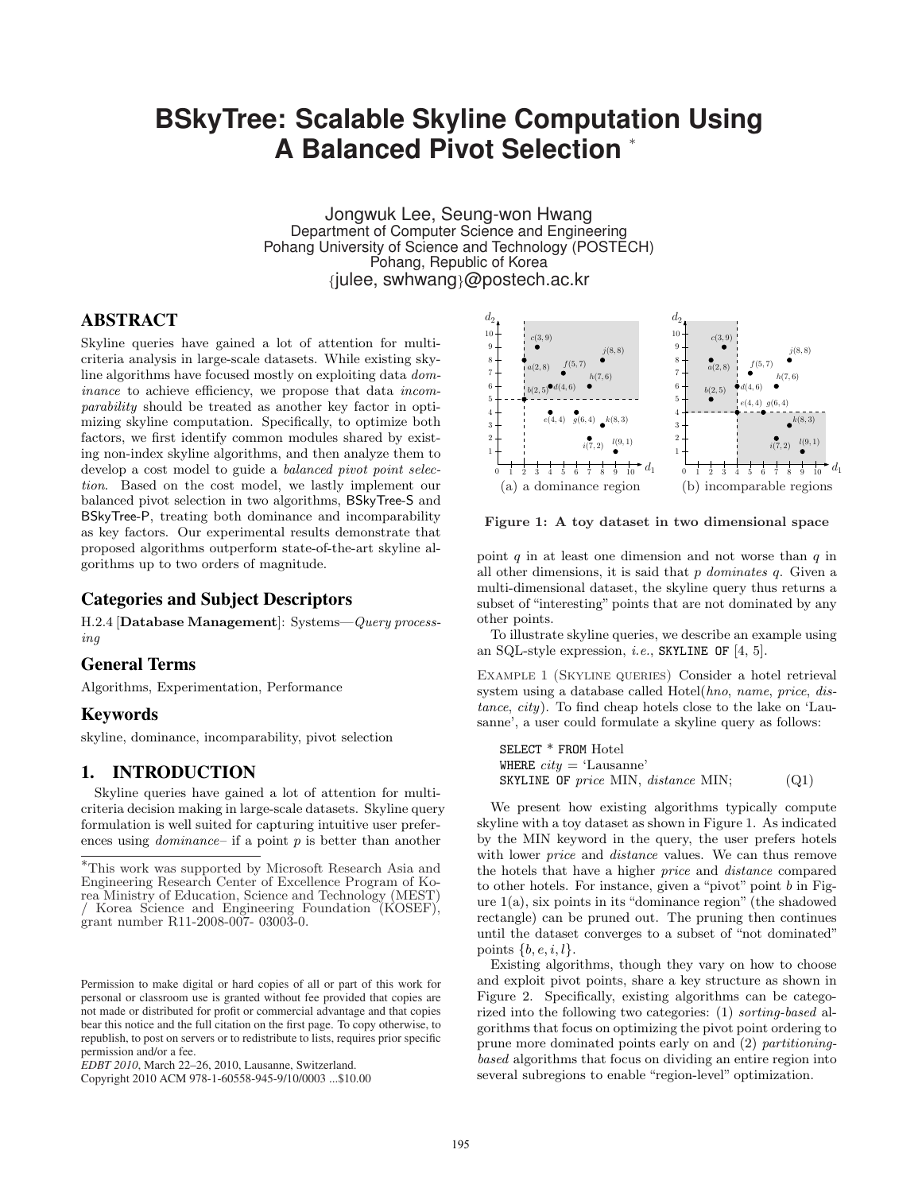# **BSkyTree: Scalable Skyline Computation Using A Balanced Pivot Selection** <sup>∗</sup>

Jongwuk Lee, Seung-won Hwang Department of Computer Science and Engineering Pohang University of Science and Technology (POSTECH) Pohang, Republic of Korea {julee, swhwang}@postech.ac.kr

# ABSTRACT

Skyline queries have gained a lot of attention for multicriteria analysis in large-scale datasets. While existing skyline algorithms have focused mostly on exploiting data dominance to achieve efficiency, we propose that data incomparability should be treated as another key factor in optimizing skyline computation. Specifically, to optimize both factors, we first identify common modules shared by existing non-index skyline algorithms, and then analyze them to develop a cost model to guide a balanced pivot point selection. Based on the cost model, we lastly implement our balanced pivot selection in two algorithms, BSkyTree-S and BSkyTree-P, treating both dominance and incomparability as key factors. Our experimental results demonstrate that proposed algorithms outperform state-of-the-art skyline algorithms up to two orders of magnitude.

# Categories and Subject Descriptors

H.2.4 [Database Management]: Systems—Query processing

# General Terms

Algorithms, Experimentation, Performance

#### Keywords

skyline, dominance, incomparability, pivot selection

### 1. INTRODUCTION

Skyline queries have gained a lot of attention for multicriteria decision making in large-scale datasets. Skyline query formulation is well suited for capturing intuitive user preferences using *dominance*– if a point  $p$  is better than another



Figure 1: A toy dataset in two dimensional space

point  $q$  in at least one dimension and not worse than  $q$  in all other dimensions, it is said that  $p$  dominates  $q$ . Given a multi-dimensional dataset, the skyline query thus returns a subset of "interesting" points that are not dominated by any other points.

To illustrate skyline queries, we describe an example using an SQL-style expression, *i.e.*, SKYLINE OF  $[4, 5]$ .

Example 1 (Skyline queries) Consider a hotel retrieval system using a database called Hotel(hno, name, price, distance, city). To find cheap hotels close to the lake on 'Lausanne', a user could formulate a skyline query as follows:

SELECT \* FROM Hotel WHERE  $city = 'Lausanne'$ SKYLINE OF price MIN, distance MIN;  $(Q1)$ 

We present how existing algorithms typically compute skyline with a toy dataset as shown in Figure 1. As indicated by the MIN keyword in the query, the user prefers hotels with lower *price* and *distance* values. We can thus remove the hotels that have a higher price and distance compared to other hotels. For instance, given a "pivot" point  $b$  in Figure  $1(a)$ , six points in its "dominance region" (the shadowed rectangle) can be pruned out. The pruning then continues until the dataset converges to a subset of "not dominated" points  $\{b, e, i, l\}.$ 

Existing algorithms, though they vary on how to choose and exploit pivot points, share a key structure as shown in Figure 2. Specifically, existing algorithms can be categorized into the following two categories: (1) sorting-based algorithms that focus on optimizing the pivot point ordering to prune more dominated points early on and (2) partitioningbased algorithms that focus on dividing an entire region into several subregions to enable "region-level" optimization.

<sup>∗</sup>This work was supported by Microsoft Research Asia and Engineering Research Center of Excellence Program of Korea Ministry of Education, Science and Technology (MEST) / Korea Science and Engineering Foundation (KOSEF), grant number R11-2008-007- 03003-0.

Permission to make digital or hard copies of all or part of this work for personal or classroom use is granted without fee provided that copies are not made or distributed for profit or commercial advantage and that copies bear this notice and the full citation on the first page. To copy otherwise, to republish, to post on servers or to redistribute to lists, requires prior specific permission and/or a fee.

*EDBT 2010*, March 22–26, 2010, Lausanne, Switzerland.

Copyright 2010 ACM 978-1-60558-945-9/10/0003 ...\$10.00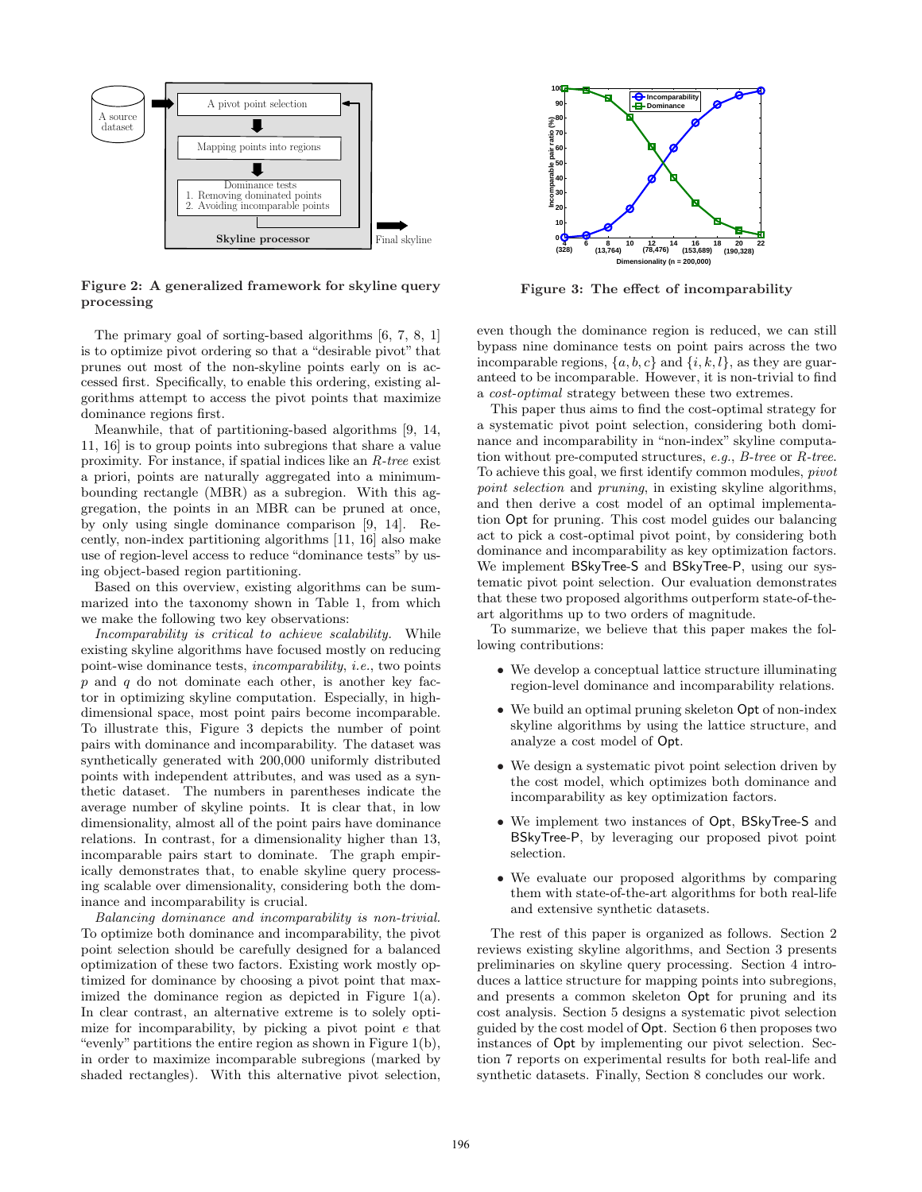

Figure 2: A generalized framework for skyline query processing

The primary goal of sorting-based algorithms [6, 7, 8, 1] is to optimize pivot ordering so that a "desirable pivot" that prunes out most of the non-skyline points early on is accessed first. Specifically, to enable this ordering, existing algorithms attempt to access the pivot points that maximize dominance regions first.

Meanwhile, that of partitioning-based algorithms [9, 14, 11, 16] is to group points into subregions that share a value proximity. For instance, if spatial indices like an R-tree exist a priori, points are naturally aggregated into a minimumbounding rectangle (MBR) as a subregion. With this aggregation, the points in an MBR can be pruned at once, by only using single dominance comparison [9, 14]. Recently, non-index partitioning algorithms [11, 16] also make use of region-level access to reduce "dominance tests" by using object-based region partitioning.

Based on this overview, existing algorithms can be summarized into the taxonomy shown in Table 1, from which we make the following two key observations:

Incomparability is critical to achieve scalability. While existing skyline algorithms have focused mostly on reducing point-wise dominance tests, incomparability, i.e., two points  $p$  and  $q$  do not dominate each other, is another key factor in optimizing skyline computation. Especially, in highdimensional space, most point pairs become incomparable. To illustrate this, Figure 3 depicts the number of point pairs with dominance and incomparability. The dataset was synthetically generated with 200,000 uniformly distributed points with independent attributes, and was used as a synthetic dataset. The numbers in parentheses indicate the average number of skyline points. It is clear that, in low dimensionality, almost all of the point pairs have dominance relations. In contrast, for a dimensionality higher than 13, incomparable pairs start to dominate. The graph empirically demonstrates that, to enable skyline query processing scalable over dimensionality, considering both the dominance and incomparability is crucial.

Balancing dominance and incomparability is non-trivial. To optimize both dominance and incomparability, the pivot point selection should be carefully designed for a balanced optimization of these two factors. Existing work mostly optimized for dominance by choosing a pivot point that maximized the dominance region as depicted in Figure 1(a). In clear contrast, an alternative extreme is to solely optimize for incomparability, by picking a pivot point e that "evenly" partitions the entire region as shown in Figure 1(b), in order to maximize incomparable subregions (marked by shaded rectangles). With this alternative pivot selection,



Figure 3: The effect of incomparability

even though the dominance region is reduced, we can still bypass nine dominance tests on point pairs across the two incomparable regions,  $\{a, b, c\}$  and  $\{i, k, l\}$ , as they are guaranteed to be incomparable. However, it is non-trivial to find a cost-optimal strategy between these two extremes.

This paper thus aims to find the cost-optimal strategy for a systematic pivot point selection, considering both dominance and incomparability in "non-index" skyline computation without pre-computed structures, e.g.,  $B$ -tree or  $R$ -tree. To achieve this goal, we first identify common modules, pivot point selection and pruning, in existing skyline algorithms, and then derive a cost model of an optimal implementation Opt for pruning. This cost model guides our balancing act to pick a cost-optimal pivot point, by considering both dominance and incomparability as key optimization factors. We implement BSkyTree-S and BSkyTree-P, using our systematic pivot point selection. Our evaluation demonstrates that these two proposed algorithms outperform state-of-theart algorithms up to two orders of magnitude.

To summarize, we believe that this paper makes the following contributions:

- We develop a conceptual lattice structure illuminating region-level dominance and incomparability relations.
- We build an optimal pruning skeleton Opt of non-index skyline algorithms by using the lattice structure, and analyze a cost model of Opt.
- We design a systematic pivot point selection driven by the cost model, which optimizes both dominance and incomparability as key optimization factors.
- We implement two instances of Opt, BSkyTree-S and BSkyTree-P, by leveraging our proposed pivot point selection.
- We evaluate our proposed algorithms by comparing them with state-of-the-art algorithms for both real-life and extensive synthetic datasets.

The rest of this paper is organized as follows. Section 2 reviews existing skyline algorithms, and Section 3 presents preliminaries on skyline query processing. Section 4 introduces a lattice structure for mapping points into subregions, and presents a common skeleton Opt for pruning and its cost analysis. Section 5 designs a systematic pivot selection guided by the cost model of Opt. Section 6 then proposes two instances of Opt by implementing our pivot selection. Section 7 reports on experimental results for both real-life and synthetic datasets. Finally, Section 8 concludes our work.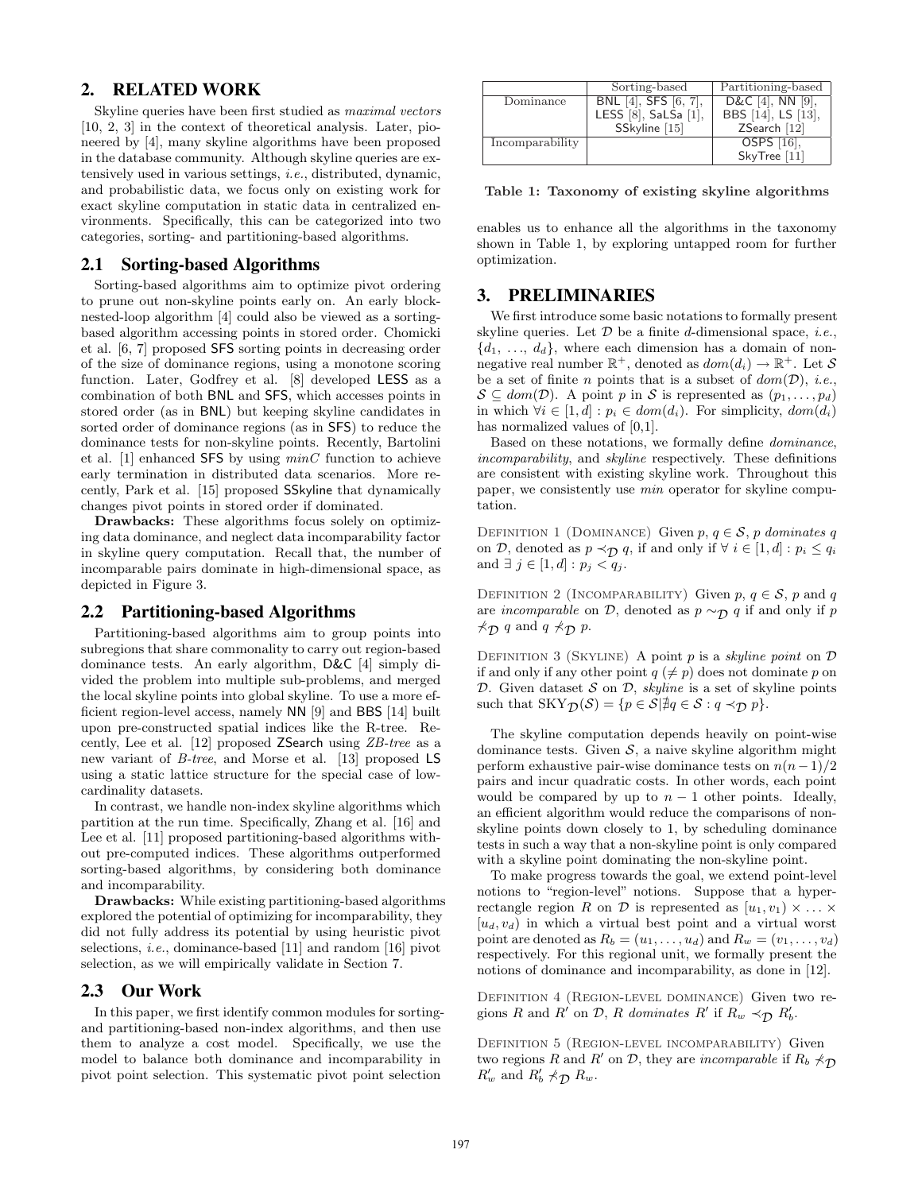# 2. RELATED WORK

Skyline queries have been first studied as *maximal vectors* [10, 2, 3] in the context of theoretical analysis. Later, pioneered by [4], many skyline algorithms have been proposed in the database community. Although skyline queries are extensively used in various settings, i.e., distributed, dynamic, and probabilistic data, we focus only on existing work for exact skyline computation in static data in centralized environments. Specifically, this can be categorized into two categories, sorting- and partitioning-based algorithms.

# 2.1 Sorting-based Algorithms

Sorting-based algorithms aim to optimize pivot ordering to prune out non-skyline points early on. An early blocknested-loop algorithm [4] could also be viewed as a sortingbased algorithm accessing points in stored order. Chomicki et al. [6, 7] proposed SFS sorting points in decreasing order of the size of dominance regions, using a monotone scoring function. Later, Godfrey et al. [8] developed LESS as a combination of both BNL and SFS, which accesses points in stored order (as in BNL) but keeping skyline candidates in sorted order of dominance regions (as in SFS) to reduce the dominance tests for non-skyline points. Recently, Bartolini et al.  $[1]$  enhanced SFS by using  $minC$  function to achieve early termination in distributed data scenarios. More recently, Park et al. [15] proposed SSkyline that dynamically changes pivot points in stored order if dominated.

Drawbacks: These algorithms focus solely on optimizing data dominance, and neglect data incomparability factor in skyline query computation. Recall that, the number of incomparable pairs dominate in high-dimensional space, as depicted in Figure 3.

# 2.2 Partitioning-based Algorithms

Partitioning-based algorithms aim to group points into subregions that share commonality to carry out region-based dominance tests. An early algorithm, D&C [4] simply divided the problem into multiple sub-problems, and merged the local skyline points into global skyline. To use a more efficient region-level access, namely NN [9] and BBS [14] built upon pre-constructed spatial indices like the R-tree. Recently, Lee et al. [12] proposed ZSearch using ZB-tree as a new variant of B-tree, and Morse et al. [13] proposed LS using a static lattice structure for the special case of lowcardinality datasets.

In contrast, we handle non-index skyline algorithms which partition at the run time. Specifically, Zhang et al. [16] and Lee et al. [11] proposed partitioning-based algorithms without pre-computed indices. These algorithms outperformed sorting-based algorithms, by considering both dominance and incomparability.

Drawbacks: While existing partitioning-based algorithms explored the potential of optimizing for incomparability, they did not fully address its potential by using heuristic pivot selections, *i.e.*, dominance-based [11] and random [16] pivot selection, as we will empirically validate in Section 7.

#### 2.3 Our Work

In this paper, we first identify common modules for sortingand partitioning-based non-index algorithms, and then use them to analyze a cost model. Specifically, we use the model to balance both dominance and incomparability in pivot point selection. This systematic pivot point selection

|                 | Sorting-based        | Partitioning-based     |
|-----------------|----------------------|------------------------|
| Dominance       | BNL [4], SFS [6, 7], | D&C $[4]$ , NN $[9]$ , |
|                 | LESS [8], SaLSa [1], | BBS [14], LS [13],     |
|                 | SSkyline [15]        | $ZSearch$ [12]         |
| Incomparability |                      | OSPS $[16]$ ,          |
|                 |                      | SkyTree [11]           |

Table 1: Taxonomy of existing skyline algorithms

enables us to enhance all the algorithms in the taxonomy shown in Table 1, by exploring untapped room for further optimization.

# 3. PRELIMINARIES

We first introduce some basic notations to formally present skyline queries. Let  $D$  be a finite d-dimensional space, *i.e.*,  $\{d_1, \ldots, d_d\}$ , where each dimension has a domain of nonnegative real number  $\mathbb{R}^+$ , denoted as  $dom(d_i) \to \mathbb{R}^+$ . Let S be a set of finite n points that is a subset of  $dom(\mathcal{D})$ , *i.e.*,  $S \subseteq dom(\mathcal{D})$ . A point p in S is represented as  $(p_1, \ldots, p_d)$ in which  $\forall i \in [1, d] : p_i \in dom(d_i)$ . For simplicity,  $dom(d_i)$ has normalized values of  $[0,1]$ .

Based on these notations, we formally define dominance, incomparability, and skyline respectively. These definitions are consistent with existing skyline work. Throughout this paper, we consistently use min operator for skyline computation.

DEFINITION 1 (DOMINANCE) Given  $p, q \in S$ , p dominates q on D, denoted as  $p \prec_{\mathcal{D}} q$ , if and only if  $\forall i \in [1, d] : p_i \leq q_i$ and  $\exists j \in [1, d] : p_j < q_j$ .

DEFINITION 2 (INCOMPARABILITY) Given  $p, q \in S$ , p and q are *incomparable* on  $D$ , denoted as  $p \sim_D q$  if and only if p  $\not\prec_{\mathcal{D}} q$  and  $q \not\prec_{\mathcal{D}} p$ .

DEFINITION 3 (SKYLINE) A point p is a skyline point on  $D$ if and only if any other point  $q \neq p$  does not dominate p on D. Given dataset  $S$  on  $D$ , *skyline* is a set of skyline points such that  $SKY_{\mathcal{D}}(\mathcal{S}) = \{p \in \mathcal{S} | \nexists q \in \mathcal{S} : q \prec_{\mathcal{D}} p\}.$ 

The skyline computation depends heavily on point-wise dominance tests. Given  $S$ , a naive skyline algorithm might perform exhaustive pair-wise dominance tests on  $n(n-1)/2$ pairs and incur quadratic costs. In other words, each point would be compared by up to  $n-1$  other points. Ideally, an efficient algorithm would reduce the comparisons of nonskyline points down closely to 1, by scheduling dominance tests in such a way that a non-skyline point is only compared with a skyline point dominating the non-skyline point.

To make progress towards the goal, we extend point-level notions to "region-level" notions. Suppose that a hyperrectangle region R on D is represented as  $[u_1, v_1] \times ... \times$  $[u_d, v_d]$  in which a virtual best point and a virtual worst point are denoted as  $R_b = (u_1, \ldots, u_d)$  and  $R_w = (v_1, \ldots, v_d)$ respectively. For this regional unit, we formally present the notions of dominance and incomparability, as done in [12].

Definition 4 (Region-level dominance) Given two regions R and R' on D, R dominates R' if  $R_w \prec_{\mathcal{D}} R'_b$ .

Definition 5 (Region-level incomparability) Given two regions R and R' on D, they are incomparable if  $R_b \nprec_{\mathcal{D}}$  $R'_w$  and  $R'_b \nprec_{\mathcal{D}} R_w$ .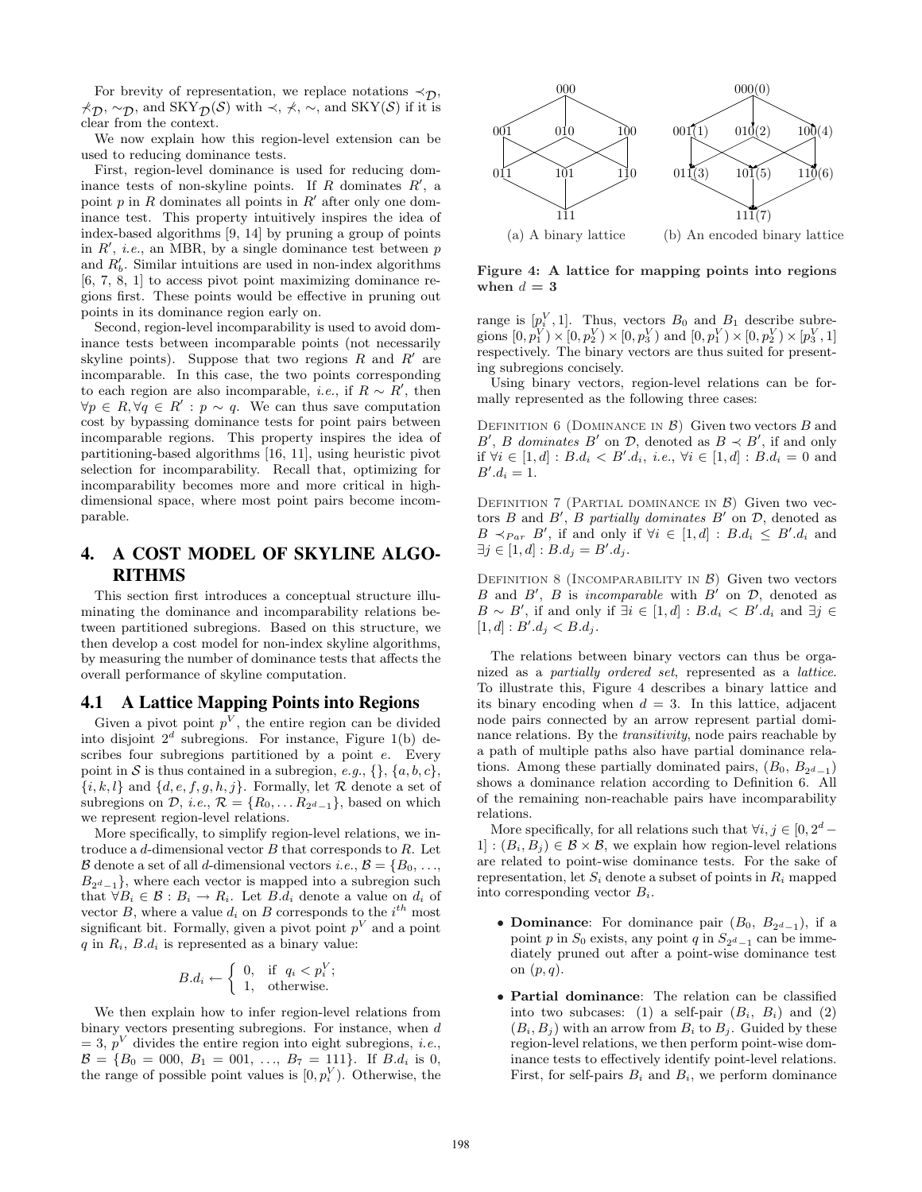For brevity of representation, we replace notations  $\prec_{\mathcal{D}}$ ,  $\not\prec_{\mathcal{D}} \cdots_{\mathcal{D}}$ , and SKY $_{\mathcal{D}}(\mathcal{S})$  with  $\prec$ ,  $\not\prec$ ,  $\sim$ , and SKY( $\mathcal{S}$ ) if it is clear from the context.

We now explain how this region-level extension can be used to reducing dominance tests.

First, region-level dominance is used for reducing dominance tests of non-skyline points. If R dominates  $R'$ , a point  $p$  in  $R$  dominates all points in  $R'$  after only one dominance test. This property intuitively inspires the idea of index-based algorithms [9, 14] by pruning a group of points in  $R'$ , *i.e.*, an MBR, by a single dominance test between  $p$ and  $R'_b$ . Similar intuitions are used in non-index algorithms [6, 7, 8, 1] to access pivot point maximizing dominance regions first. These points would be effective in pruning out points in its dominance region early on.

Second, region-level incomparability is used to avoid dominance tests between incomparable points (not necessarily skyline points). Suppose that two regions  $R$  and  $R'$  are incomparable. In this case, the two points corresponding to each region are also incomparable, *i.e.*, if  $R \sim R'$ , then  $\forall p \in R, \forall q \in R' : p \sim q$ . We can thus save computation cost by bypassing dominance tests for point pairs between incomparable regions. This property inspires the idea of partitioning-based algorithms [16, 11], using heuristic pivot selection for incomparability. Recall that, optimizing for incomparability becomes more and more critical in highdimensional space, where most point pairs become incomparable.

# 4. A COST MODEL OF SKYLINE ALGO-RITHMS

This section first introduces a conceptual structure illuminating the dominance and incomparability relations between partitioned subregions. Based on this structure, we then develop a cost model for non-index skyline algorithms, by measuring the number of dominance tests that affects the overall performance of skyline computation.

#### 4.1 A Lattice Mapping Points into Regions

Given a pivot point  $p^V$ , the entire region can be divided into disjoint  $2^d$  subregions. For instance, Figure 1(b) describes four subregions partitioned by a point e. Every point in S is thus contained in a subregion, e.g.,  $\{\}, \{a, b, c\},\$  $\{i, k, l\}$  and  $\{d, e, f, g, h, j\}$ . Formally, let R denote a set of subregions on  $\mathcal{D}$ , *i.e.*,  $\mathcal{R} = \{R_0, \ldots R_{2^d-1}\}$ , based on which we represent region-level relations.

More specifically, to simplify region-level relations, we introduce a  $d$ -dimensional vector  $B$  that corresponds to  $R$ . Let  $\mathcal B$  denote a set of all *d*-dimensional vectors *i.e.*,  $\mathcal B = \{B_0, \ldots,$  $B_{2d-1}$ , where each vector is mapped into a subregion such that  $\forall B_i \in \mathcal{B} : B_i \to R_i$ . Let  $B.d_i$  denote a value on  $d_i$  of vector B, where a value  $d_i$  on B corresponds to the  $i^{th}$  most significant bit. Formally, given a pivot point  $p<sup>V</sup>$  and a point  $q$  in  $R_i$ ,  $B.d_i$  is represented as a binary value:

$$
B.d_i \leftarrow \left\{ \begin{array}{ll} 0, & \text{if } q_i < p_i^V; \\ 1, & \text{otherwise.} \end{array} \right.
$$

We then explain how to infer region-level relations from binary vectors presenting subregions. For instance, when d  $= 3, p<sup>V</sup>$  divides the entire region into eight subregions, *i.e.*,  $\mathcal{B} = \{B_0 = 000, B_1 = 001, \ldots, B_7 = 111\}$ . If  $B.d_i$  is 0, the range of possible point values is  $[0, p_i^V)$ . Otherwise, the



Figure 4: A lattice for mapping points into regions when  $d=3$ 

range is  $[p_i^V, 1]$ . Thus, vectors  $B_0$  and  $B_1$  describe subregions  $[0, p_1^V) \times [0, p_2^V) \times [0, p_3^V)$  and  $[0, p_1^V) \times [0, p_2^V) \times [p_3^V, 1]$ respectively. The binary vectors are thus suited for presenting subregions concisely.

Using binary vectors, region-level relations can be formally represented as the following three cases:

DEFINITION 6 (DOMINANCE IN  $\beta$ ) Given two vectors B and B', B dominates B' on  $\mathcal{D}$ , denoted as  $B \prec B'$ , if and only if  $\forall i \in [1, d] : B.d_i < B'.d_i$ , *i.e.*,  $\forall i \in [1, d] : B.d_i = 0$  and  $B'.d_i = 1.$ 

DEFINITION 7 (PARTIAL DOMINANCE IN  $\beta$ ) Given two vectors B and B', B partially dominates B' on  $\mathcal{D}$ , denoted as  $B \prec_{Par} B'$ , if and only if  $\forall i \in [1, d] : B.d_i \leq B'.d_i$  and  $\exists j \in [1, d] : B.d_j = B'.d_j.$ 

DEFINITION 8 (INCOMPARABILITY IN  $\beta$ ) Given two vectors B and B', B is incomparable with B' on D, denoted as  $B \sim B'$ , if and only if  $\exists i \in [1, d] : B.d_i < B'.d_i$  and  $\exists j \in$  $[1, d] : B'.d_j < B.d_j.$ 

The relations between binary vectors can thus be organized as a partially ordered set, represented as a lattice. To illustrate this, Figure 4 describes a binary lattice and its binary encoding when  $d = 3$ . In this lattice, adjacent node pairs connected by an arrow represent partial dominance relations. By the *transitivity*, node pairs reachable by a path of multiple paths also have partial dominance relations. Among these partially dominated pairs,  $(B_0, B_{2^d-1})$ shows a dominance relation according to Definition 6. All of the remaining non-reachable pairs have incomparability relations.

More specifically, for all relations such that  $\forall i, j \in [0, 2^d 1: (B_i, B_j) \in \mathcal{B} \times \mathcal{B}$ , we explain how region-level relations are related to point-wise dominance tests. For the sake of representation, let  $S_i$  denote a subset of points in  $R_i$  mapped into corresponding vector  $B_i$ .

- **Dominance**: For dominance pair  $(B_0, B_{2^d-1})$ , if a point p in  $S_0$  exists, any point q in  $S_{2^d-1}$  can be immediately pruned out after a point-wise dominance test on  $(p, q)$ .
- Partial dominance: The relation can be classified into two subcases: (1) a self-pair  $(B_i, B_i)$  and (2)  $(B_i, B_j)$  with an arrow from  $B_i$  to  $B_j$ . Guided by these region-level relations, we then perform point-wise dominance tests to effectively identify point-level relations. First, for self-pairs  $B_i$  and  $B_i$ , we perform dominance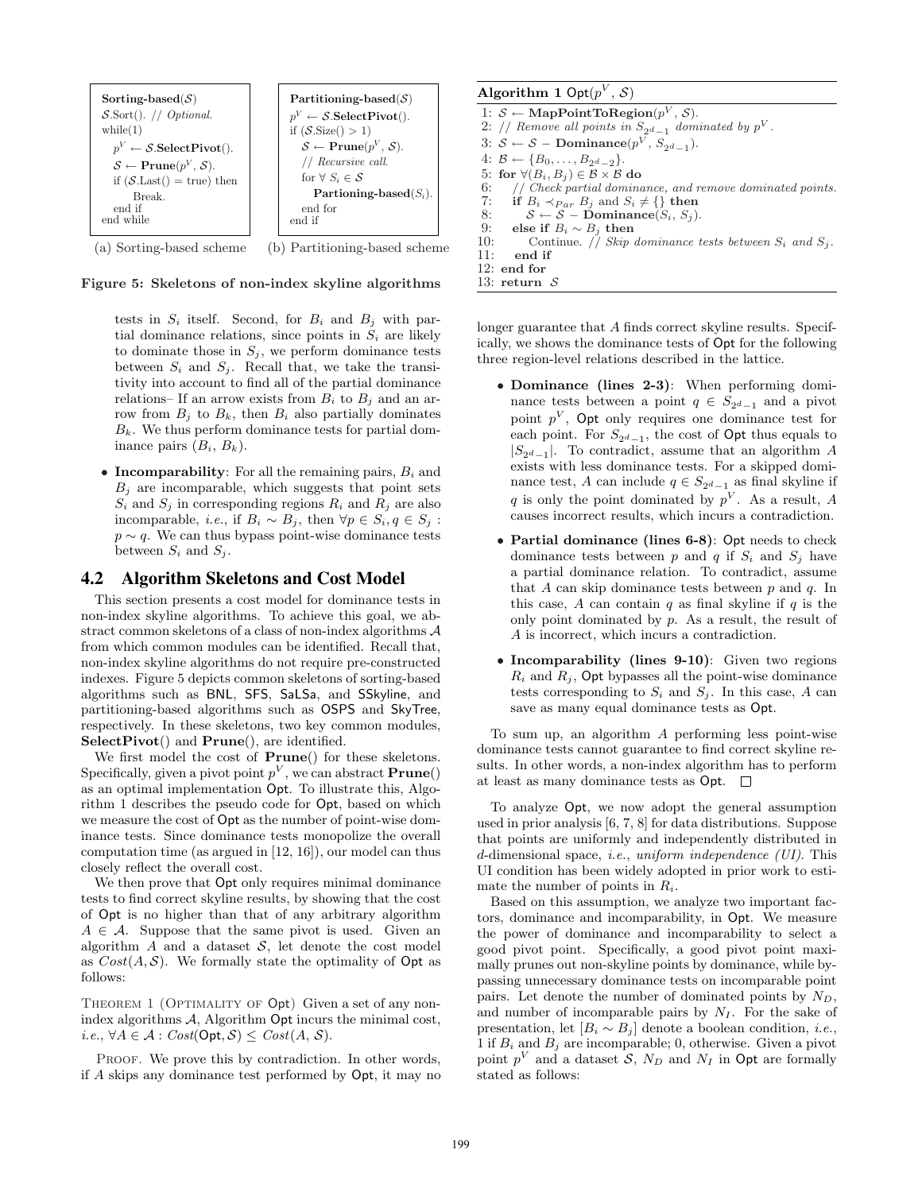

(a) Sorting-based scheme (b) Partitioning-based scheme



tests in  $S_i$  itself. Second, for  $B_i$  and  $B_j$  with partial dominance relations, since points in  $S_i$  are likely to dominate those in  $S_i$ , we perform dominance tests between  $S_i$  and  $S_j$ . Recall that, we take the transitivity into account to find all of the partial dominance relations– If an arrow exists from  $B_i$  to  $B_j$  and an arrow from  $B_j$  to  $B_k$ , then  $B_i$  also partially dominates  $B_k$ . We thus perform dominance tests for partial dominance pairs  $(B_i, B_k)$ .

• Incomparability: For all the remaining pairs,  $B_i$  and  $B_i$  are incomparable, which suggests that point sets  $S_i$  and  $S_j$  in corresponding regions  $R_i$  and  $R_j$  are also incomparable, *i.e.*, if  $B_i \sim B_j$ , then  $\forall p \in S_i$ ,  $q \in S_j$ :  $p \sim q$ . We can thus bypass point-wise dominance tests between  $S_i$  and  $S_j$ .

# 4.2 Algorithm Skeletons and Cost Model

This section presents a cost model for dominance tests in non-index skyline algorithms. To achieve this goal, we abstract common skeletons of a class of non-index algorithms A from which common modules can be identified. Recall that, non-index skyline algorithms do not require pre-constructed indexes. Figure 5 depicts common skeletons of sorting-based algorithms such as BNL, SFS, SaLSa, and SSkyline, and partitioning-based algorithms such as OSPS and SkyTree, respectively. In these skeletons, two key common modules, SelectPivot() and Prune(), are identified.

We first model the cost of **Prune**() for these skeletons. Specifically, given a pivot point  $p^V$ , we can abstract **Prune**() as an optimal implementation Opt. To illustrate this, Algorithm 1 describes the pseudo code for Opt, based on which we measure the cost of Opt as the number of point-wise dominance tests. Since dominance tests monopolize the overall computation time (as argued in [12, 16]), our model can thus closely reflect the overall cost.

We then prove that Opt only requires minimal dominance tests to find correct skyline results, by showing that the cost of Opt is no higher than that of any arbitrary algorithm  $A \in \mathcal{A}$ . Suppose that the same pivot is used. Given an algorithm  $A$  and a dataset  $S$ , let denote the cost model as  $Cost(A, S)$ . We formally state the optimality of Opt as follows:

THEOREM 1 (OPTIMALITY OF Opt) Given a set of any nonindex algorithms  $A$ , Algorithm Opt incurs the minimal cost, i.e.,  $\forall A \in \mathcal{A}$ : Cost(Opt, S) ≤ Cost(A, S).

PROOF. We prove this by contradiction. In other words, if A skips any dominance test performed by Opt, it may no

| Algorithm 1 Opt $(p^V, \mathcal{S})$                               |
|--------------------------------------------------------------------|
| 1: $S \leftarrow \text{MapPointToRegion}(p^V, S)$ .                |
| 2: // Remove all points in $S_{2^d-1}$ dominated by $p^V$ .        |
| 3: $S \leftarrow S$ – Dominance( $p^V$ , $S_{2d-1}$ ).             |
| 4: $B \leftarrow \{B_0, \ldots, B_{2d-2}\}.$                       |
| 5: for $\forall (B_i, B_j) \in \mathcal{B} \times \mathcal{B}$ do  |
| 6:<br>// Check partial dominance, and remove dominated points.     |
| 7:<br>if $B_i \prec_{Par} B_i$ and $S_i \neq \{\}\$ then           |
| 8:<br>$S \leftarrow S$ – Dominance $(S_i, S_j)$ .                  |
| 9:<br>else if $B_i \sim B_i$ then                                  |
| 10:<br>Continue. // Skip dominance tests between $S_i$ and $S_j$ . |
| 11:<br>end if                                                      |
| $12:$ end for                                                      |
| 13: return $S$                                                     |

longer guarantee that A finds correct skyline results. Specifically, we shows the dominance tests of Opt for the following three region-level relations described in the lattice.

- Dominance (lines 2-3): When performing dominance tests between a point  $q \in S_{2^d-1}$  and a pivot point  $p^V$ , Opt only requires one dominance test for each point. For  $S_{2^d-1}$ , the cost of Opt thus equals to  $|S_{2d-1}|$ . To contradict, assume that an algorithm A exists with less dominance tests. For a skipped dominance test, A can include  $q \in S_{2^d-1}$  as final skyline if q is only the point dominated by  $p^V$ . As a result, A causes incorrect results, which incurs a contradiction.
- Partial dominance (lines 6-8): Opt needs to check dominance tests between p and q if  $S_i$  and  $S_j$  have a partial dominance relation. To contradict, assume that A can skip dominance tests between  $p$  and  $q$ . In this case, A can contain q as final skyline if q is the only point dominated by  $p$ . As a result, the result of A is incorrect, which incurs a contradiction.
- Incomparability (lines 9-10): Given two regions  $R_i$  and  $R_j$ , Opt bypasses all the point-wise dominance tests corresponding to  $S_i$  and  $S_j$ . In this case, A can save as many equal dominance tests as Opt.

To sum up, an algorithm A performing less point-wise dominance tests cannot guarantee to find correct skyline results. In other words, a non-index algorithm has to perform at least as many dominance tests as  $Opt. \square$ 

To analyze Opt, we now adopt the general assumption used in prior analysis [6, 7, 8] for data distributions. Suppose that points are uniformly and independently distributed in d-dimensional space, i.e., uniform independence (UI). This UI condition has been widely adopted in prior work to estimate the number of points in  $R_i$ .

Based on this assumption, we analyze two important factors, dominance and incomparability, in Opt. We measure the power of dominance and incomparability to select a good pivot point. Specifically, a good pivot point maximally prunes out non-skyline points by dominance, while bypassing unnecessary dominance tests on incomparable point pairs. Let denote the number of dominated points by  $N_D$ , and number of incomparable pairs by  $N_I$ . For the sake of presentation, let  $[B_i \sim B_j]$  denote a boolean condition, *i.e.*, 1 if  $B_i$  and  $B_j$  are incomparable; 0, otherwise. Given a pivot point  $p^V$  and a dataset S,  $N_D$  and  $N_I$  in Opt are formally stated as follows: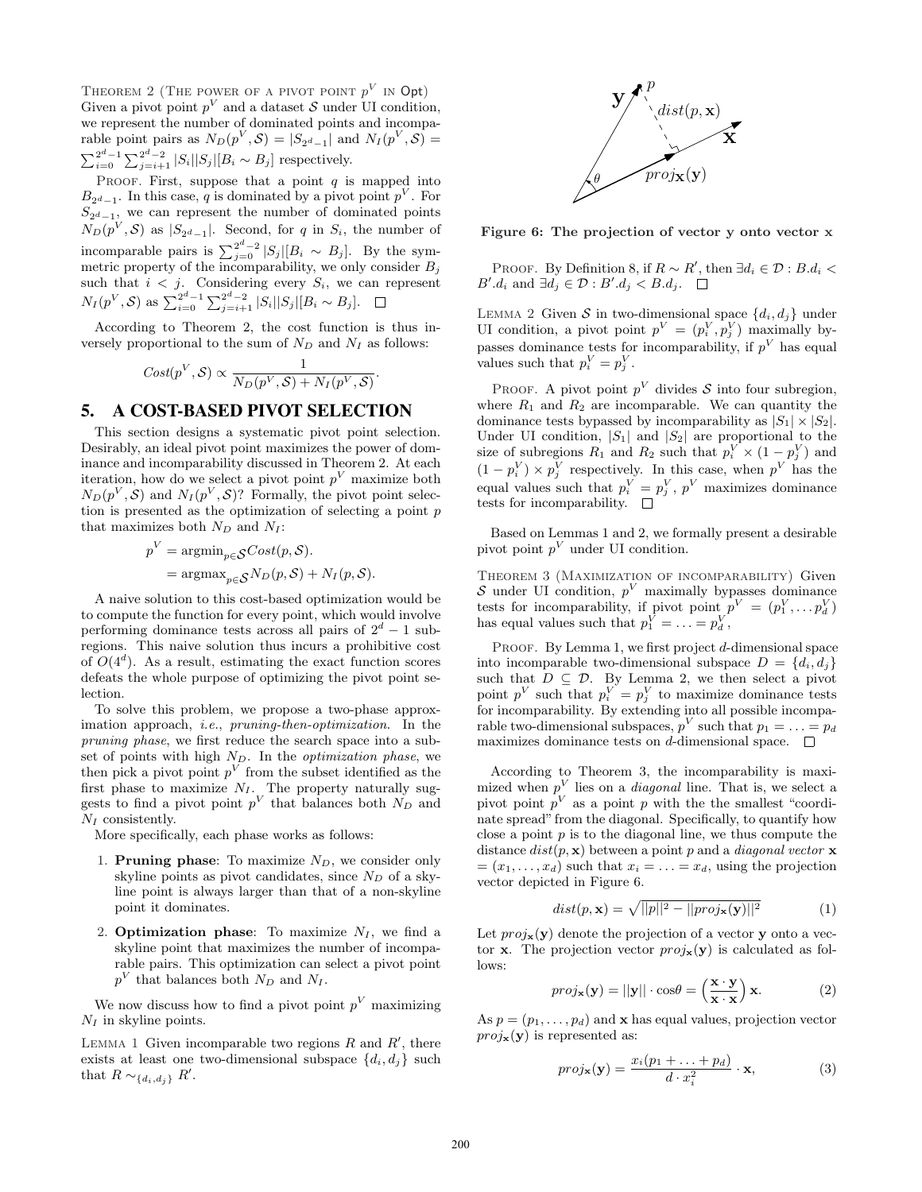THEOREM 2 (THE POWER OF A PIVOT POINT  $p^V$  in Opt) Given a pivot point  $p^V$  and a dataset S under UI condition, we represent the number of dominated points and incomparable point pairs as  $N_D(p^V, \mathcal{S}) = |S_{2^d-1}|$  and  $N_I(p^V, \mathcal{S}) =$  $\sum_{i=0}^{2^d-1} \sum_{j=i+1}^{2^d-2} |S_i||S_j|[B_i \sim B_j]$  respectively.

PROOF. First, suppose that a point  $q$  is mapped into  $B_{2^d-1}$ . In this case, q is dominated by a pivot point  $p^V$ . For  $S_{2^d-1}$ , we can represent the number of dominated points  $N_D(p^V, S)$  as  $|S_{2^d-1}|$ . Second, for q in  $S_i$ , the number of incomparable pairs is  $\sum_{j=0}^{2^d-2} |S_j|[B_i \sim B_j]$ . By the symmetric property of the incomparability, we only consider  $B_j$ such that  $i < j$ . Considering every  $S_i$ , we can represent  $N_I(p^V, S)$  as  $\sum_{i=0}^{2^d-1} \sum_{j=i+1}^{2^d-2} |S_i||S_j|[B_i \sim B_j].$ 

According to Theorem 2, the cost function is thus inversely proportional to the sum of  $N_D$  and  $N_I$  as follows:

$$
Cost(p^{V}, \mathcal{S}) \propto \frac{1}{N_D(p^{V}, \mathcal{S}) + N_I(p^{V}, \mathcal{S})}.
$$

# 5. A COST-BASED PIVOT SELECTION

This section designs a systematic pivot point selection. Desirably, an ideal pivot point maximizes the power of dominance and incomparability discussed in Theorem 2. At each iteration, how do we select a pivot point  $p<sup>V</sup>$  maximize both  $N_D(p^V, \mathcal{S})$  and  $N_I(p^V, \mathcal{S})$ ? Formally, the pivot point selection is presented as the optimization of selecting a point  $p$ that maximizes both  $N_D$  and  $N_I$ :

$$
p^{V} = \operatorname{argmin}_{p \in \mathcal{S}} Cost(p, \mathcal{S}).
$$
  
= 
$$
\operatorname{argmax}_{p \in \mathcal{S}} N_D(p, \mathcal{S}) + N_I(p, \mathcal{S}).
$$

A naive solution to this cost-based optimization would be to compute the function for every point, which would involve performing dominance tests across all pairs of  $2^d - 1$  subregions. This naive solution thus incurs a prohibitive cost of  $O(4^d)$ . As a result, estimating the exact function scores defeats the whole purpose of optimizing the pivot point selection.

To solve this problem, we propose a two-phase approximation approach, i.e., pruning-then-optimization. In the pruning phase, we first reduce the search space into a subset of points with high  $N_D$ . In the *optimization phase*, we then pick a pivot point  $p^V$  from the subset identified as the first phase to maximize  $N_I$ . The property naturally suggests to find a pivot point  $p^V$  that balances both  $N_D$  and  $N_I$  consistently.

More specifically, each phase works as follows:

- 1. **Pruning phase:** To maximize  $N_D$ , we consider only skyline points as pivot candidates, since  $N_D$  of a skyline point is always larger than that of a non-skyline point it dominates.
- 2. **Optimization phase:** To maximize  $N_I$ , we find a skyline point that maximizes the number of incomparable pairs. This optimization can select a pivot point  $p<sup>V</sup>$  that balances both  $N_D$  and  $N_I$ .

We now discuss how to find a pivot point  $p<sup>V</sup>$  maximizing  $N_I$  in skyline points.

LEMMA 1 Given incomparable two regions  $R$  and  $R'$ , there exists at least one two-dimensional subspace  $\{d_i, d_j\}$  such that  $R \sim_{\{d_i, d_j\}} R'$ .



Figure 6: The projection of vector y onto vector x

PROOF. By Definition 8, if  $R \sim R'$ , then  $\exists d_i \in \mathcal{D} : B.d_i$  $B'.d_i$  and  $\exists d_j \in \mathcal{D} : B'.d_j < B.d_j$ .

LEMMA 2 Given S in two-dimensional space  $\{d_i, d_j\}$  under UI condition, a pivot point  $p^V = (p_i^V, p_j^V)$  maximally bypasses dominance tests for incomparability, if  $p<sup>V</sup>$  has equal values such that  $p_i^V = p_j^V$ .

PROOF. A pivot point  $p^V$  divides S into four subregion, where  $R_1$  and  $R_2$  are incomparable. We can quantity the dominance tests bypassed by incomparability as  $|S_1| \times |S_2|$ . Under UI condition,  $|S_1|$  and  $|S_2|$  are proportional to the size of subregions  $R_1$  and  $R_2$  such that  $p_i^V \times (1 - p_j^V)$  and  $(1-p_i^V) \times p_j^V$  respectively. In this case, when  $p^V$  has the equal values such that  $p_i^V = p_j^V$ ,  $p^V$  maximizes dominance tests for incomparability.  $\quad \Box$ 

Based on Lemmas 1 and 2, we formally present a desirable pivot point  $p^V$  under UI condition.

Theorem 3 (Maximization of incomparability) Given S under UI condition,  $p<sup>V</sup>$  maximally bypasses dominance tests for incomparability, if pivot point  $p^V = (p_1^V, \ldots, p_d^V)$ has equal values such that  $p_1^V = \ldots = p_d^V$ ,

PROOF. By Lemma 1, we first project d-dimensional space into incomparable two-dimensional subspace  $D = \{d_i, d_j\}$ such that  $D \subseteq \mathcal{D}$ . By Lemma 2, we then select a pivot point  $p^V$  such that  $p_i^V = p_j^V$  to maximize dominance tests for incomparability. By extending into all possible incomparable two-dimensional subspaces,  $p^V$  such that  $p_1 = \ldots = p_d$ maximizes dominance tests on d-dimensional space.  $\Box$ 

According to Theorem 3, the incomparability is maximized when  $p<sup>V</sup>$  lies on a *diagonal* line. That is, we select a pivot point  $p^V$  as a point p with the the smallest "coordinate spread" from the diagonal. Specifically, to quantify how close a point  $p$  is to the diagonal line, we thus compute the distance  $dist(p, x)$  between a point p and a *diagonal vector* x  $=(x_1,\ldots,x_d)$  such that  $x_i=\ldots=x_d$ , using the projection vector depicted in Figure 6.

$$
dist(p, \mathbf{x}) = \sqrt{||p||^2 - ||proj_{\mathbf{x}}(\mathbf{y})||^2}
$$
 (1)

Let  $proj_{\mathbf{x}}(\mathbf{y})$  denote the projection of a vector y onto a vector **x**. The projection vector  $proj_{\mathbf{x}}(\mathbf{y})$  is calculated as follows: ´

$$
proj_{\mathbf{x}}(\mathbf{y}) = ||\mathbf{y}|| \cdot \cos \theta = \left(\frac{\mathbf{x} \cdot \mathbf{y}}{\mathbf{x} \cdot \mathbf{x}}\right) \mathbf{x}.
$$
 (2)

As  $p = (p_1, \ldots, p_d)$  and **x** has equal values, projection vector  $proj_{\mathbf{x}}(\mathbf{y})$  is represented as:

$$
proj_{\mathbf{x}}(\mathbf{y}) = \frac{x_i(p_1 + \dots + p_d)}{d \cdot x_i^2} \cdot \mathbf{x},\tag{3}
$$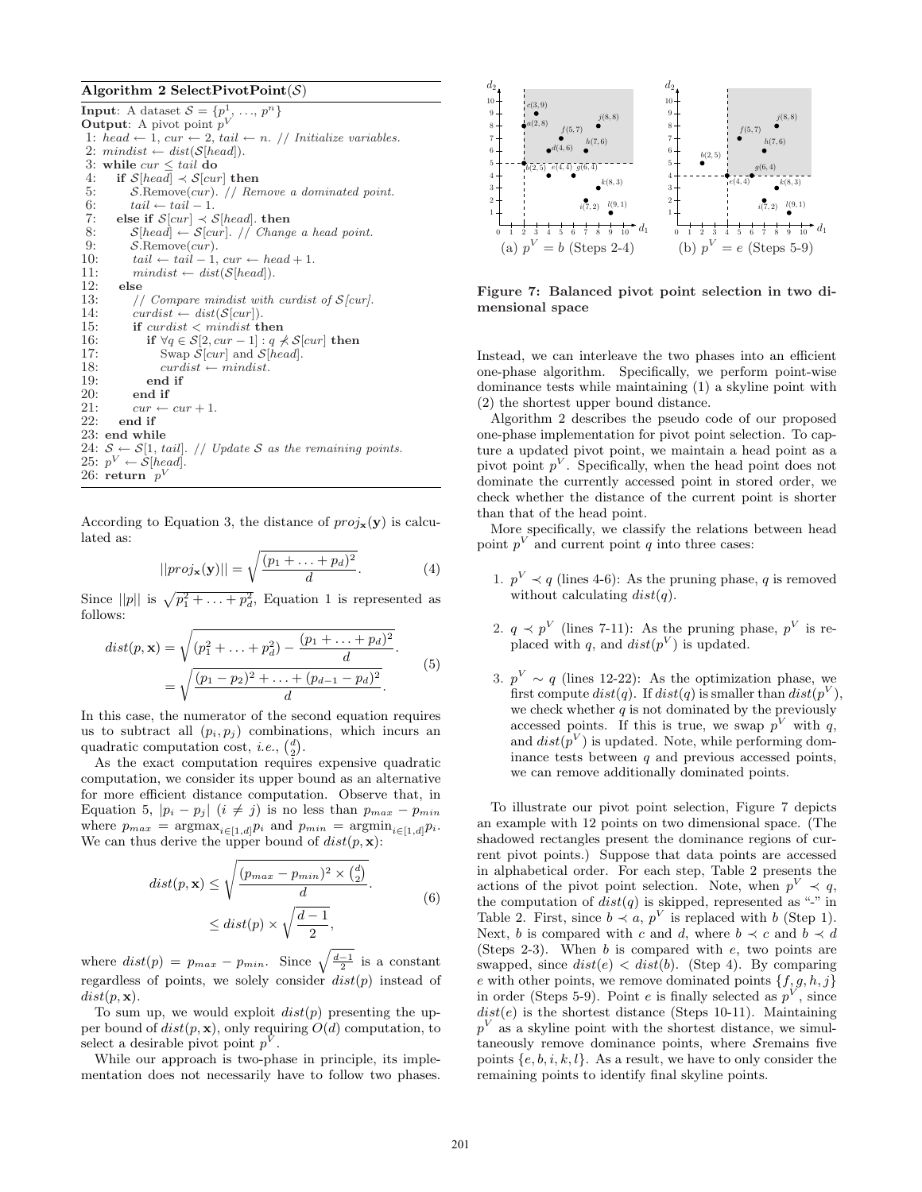#### Algorithm 2 SelectPivotPoint $(S)$

**Input:** A dataset  $S = \{p^1, \ldots, p^n\}$ **Output:** A pivot point  $p^V$ 1: head  $\leftarrow$  1, cur  $\leftarrow$  2, tail  $\leftarrow$  n. // Initialize variables. 2:  $mindist \leftarrow dist(S[head]).$ <br>3: while  $cur \le tail$  do while  $cur \leq tail$  do 4: if  $S[head] \prec S[cur]$  then 5: S.Remove(cur). // Remove a dominated point.<br>6:  $tail \leftarrow tail - 1$ .  $tail \leftarrow tail - 1.$ 7: else if  $S[cur] \prec S[head]$ . then 8:  $S[head] \leftarrow S[cur]$ . // Change a head point.<br>9:  $S$ . Remove(*cur*).  $S$ .Remove $(cur)$ . 10:  $tail \leftarrow tail - 1, cur \leftarrow head + 1.$ 11:  $mindist \leftarrow dist(S[head]).$ <br>12: else 12: else 13: // Compare mindist with curdist of  $S$ [cur].<br>14: curdist  $\leftarrow$  dist( $S$ [cur]).  $curdist \leftarrow dist(\mathcal{S}[cur]).$ 15: if  $curdist < mindist$  then 16: if  $\forall q \in S[2, cur-1] : q \nless S[cur]$  then<br>17: Swap  $S[cur]$  and  $S[head]$ . Swap  $\mathcal{S}[cur]$  and  $\mathcal{S}[head]$ . 18:  $curdist \leftarrow \text{mindist.}$ <br>19:  $\qquad \text{end if}$ 19:  $\qquad \qquad \text{end if}$ <br>20:  $\qquad \qquad \text{end if}$ end if 21:  $cur \leftarrow cur + 1.$ <br>22: end if end if 23: end while 24:  $S \leftarrow S[1, tail]$ . // Update S as the remaining points. 25:  $p^V \leftarrow \dot{\mathcal{S}}$ [head]. 26: return  $p^V$ 

According to Equation 3, the distance of  $proj_{\mathbf{x}}(\mathbf{y})$  is calculated as: r

$$
||proj_{\mathbf{x}}(\mathbf{y})|| = \sqrt{\frac{(p_1 + \dots + p_d)^2}{d}}.
$$
 (4)

Since  $||p||$  is  $\sqrt{p_1^2 + \ldots + p_d^2}$ , Equation 1 is represented as follows:

$$
dist(p, \mathbf{x}) = \sqrt{(p_1^2 + \dots + p_d^2) - \frac{(p_1 + \dots + p_d)^2}{d}} = \sqrt{\frac{(p_1 - p_2)^2 + \dots + (p_{d-1} - p_d)^2}{d}}.
$$
(5)

In this case, the numerator of the second equation requires us to subtract all  $(p_i, p_j)$  combinations, which incurs an quadratic computation cost, *i.e.*,  $\binom{d}{2}$ .

As the exact computation requires expensive quadratic computation, we consider its upper bound as an alternative for more efficient distance computation. Observe that, in Equation 5,  $|p_i - p_j|$   $(i \neq j)$  is no less than  $p_{max} - p_{min}$ where  $p_{max}$  =  $\operatorname{argmax}_{i \in [1,d]} p_i$  and  $p_{min}$  =  $\operatorname{argmin}_{i \in [1,d]} p_i$ . We can thus derive the upper bound of  $dist(p, \mathbf{x})$ :

$$
dist(p, \mathbf{x}) \le \sqrt{\frac{(p_{max} - p_{min})^2 \times {d \choose 2}}{d}}.
$$
  
 
$$
\le dist(p) \times \sqrt{\frac{d-1}{2}},
$$
 (6)

where  $dist(p) = p_{max} - p_{min}$ . Since  $\sqrt{\frac{d-1}{2}}$  is a constant regardless of points, we solely consider  $dist(p)$  instead of  $dist(p, \mathbf{x}).$ 

To sum up, we would exploit  $dist(p)$  presenting the upper bound of  $dist(p, \mathbf{x})$ , only requiring  $O(d)$  computation, to select a desirable pivot point  $p^V$ .

While our approach is two-phase in principle, its implementation does not necessarily have to follow two phases.



Figure 7: Balanced pivot point selection in two dimensional space

Instead, we can interleave the two phases into an efficient one-phase algorithm. Specifically, we perform point-wise dominance tests while maintaining (1) a skyline point with (2) the shortest upper bound distance.

Algorithm 2 describes the pseudo code of our proposed one-phase implementation for pivot point selection. To capture a updated pivot point, we maintain a head point as a pivot point  $p^V$ . Specifically, when the head point does not dominate the currently accessed point in stored order, we check whether the distance of the current point is shorter than that of the head point.

More specifically, we classify the relations between head point  $p^V$  and current point q into three cases:

- 1.  $p^V \prec q$  (lines 4-6): As the pruning phase, q is removed without calculating  $dist(q)$ .
- 2.  $q \prec p^{V}$  (lines 7-11): As the pruning phase,  $p^{V}$  is replaced with q, and  $dist(p^V)$  is updated.
- 3.  $p^V \sim q$  (lines 12-22): As the optimization phase, we first compute  $dist(q)$ . If  $dist(q)$  is smaller than  $dist(p^V)$ , we check whether  $q$  is not dominated by the previously accessed points. If this is true, we swap  $p^{V}$  with q, and  $dist(p^V)$  is updated. Note, while performing dominance tests between  $q$  and previous accessed points, we can remove additionally dominated points.

To illustrate our pivot point selection, Figure 7 depicts an example with 12 points on two dimensional space. (The shadowed rectangles present the dominance regions of current pivot points.) Suppose that data points are accessed in alphabetical order. For each step, Table 2 presents the actions of the pivot point selection. Note, when  $p^V \prec q$ , the computation of  $dist(q)$  is skipped, represented as "-" in Table 2. First, since  $b \prec a, p^V$  is replaced with b (Step 1). Next, b is compared with c and d, where  $b \prec c$  and  $b \prec d$ (Steps 2-3). When  $b$  is compared with  $e$ , two points are swapped, since  $dist(e) < dist(b)$ . (Step 4). By comparing e with other points, we remove dominated points  $\{f, g, h, j\}$ in order (Steps 5-9). Point e is finally selected as  $p<sup>V</sup>$ , since  $dist(e)$  is the shortest distance (Steps 10-11). Maintaining  $p<sup>V</sup>$  as a skyline point with the shortest distance, we simultaneously remove dominance points, where Sremains five points  $\{e, b, i, k, l\}$ . As a result, we have to only consider the remaining points to identify final skyline points.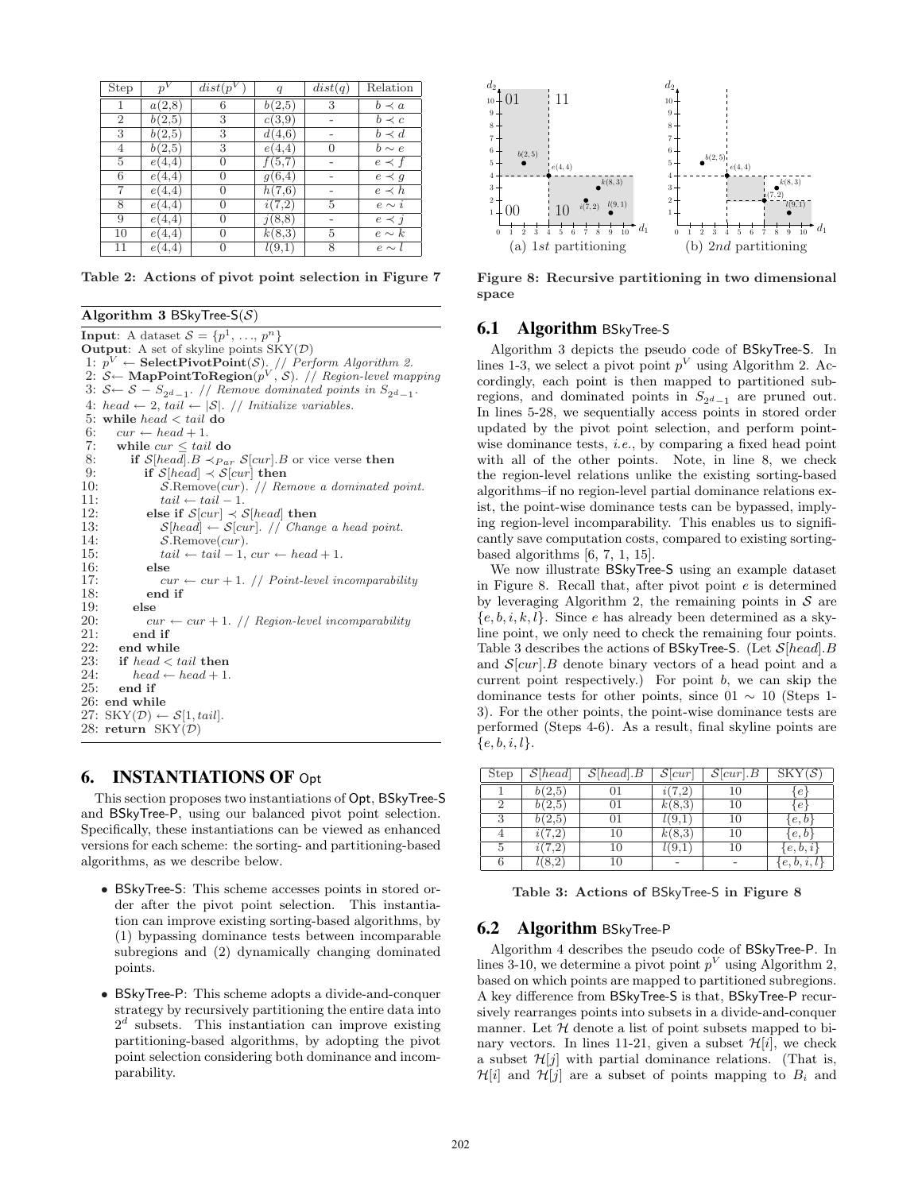| Step           |                     | $\overline{dist}(p^V)$ | $\boldsymbol{q}$    | dist(q) | Relation    |
|----------------|---------------------|------------------------|---------------------|---------|-------------|
|                | $\overline{a}(2,8)$ | 6                      | $\overline{b}(2,5)$ | 3       | $b \prec a$ |
| $\overline{2}$ | b(2,5)              | 3                      | c(3,9)              |         | $b \prec c$ |
| 3              | b(2,5)              | 3                      | d(4,6)              |         | $b \prec d$ |
| 4              | b(2,5)              | 3                      | e(4,4)              | 0       | $b \sim e$  |
| 5              | e(4,4)              | $\theta$               | f(5,7)              |         | $e \prec f$ |
| 6              | e(4,4)              | $\theta$               | q(6,4)              |         | $e \prec g$ |
| 7              | e(4,4)              | 0                      | h(7,6)              |         | $e \prec h$ |
| 8              | e(4,4)              | 0                      | i(7,2)              | 5       | $e \sim i$  |
| 9              | e(4,4)              | 0                      | j(8,8)              |         | $e \prec j$ |
| 10             | e(4,4)              | 0                      | k(8,3)              | 5       | $e \sim k$  |
| 11             | e(4,4)              | $\left( \right)$       | l(9,1)              | 8       | $e \sim l$  |

Table 2: Actions of pivot point selection in Figure 7

Algorithm 3 BSkyTree-S( $S$ ) **Input:** A dataset  $S = \{p^1, \ldots, p^n\}$ **Output**: A set of skyline points  $SKY(\mathcal{D})$ 1:  $p^V \leftarrow$  Select Pivot Point(S). // Perform Algorithm 2. 2:  $S \leftarrow \textbf{MapPointToRegion}(p^V, \mathcal{S})$ . // Region-level mapping 3:  $S \leftarrow S - S_{2d-1}$ . // Remove dominated points in  $S_{2d-1}$ . 4: head  $\leftarrow$  2, tail  $\leftarrow$  |S|. // Initialize variables. 5: while head < tail do 6:  $cur \leftarrow head + 1$ . 7: while  $cur \leq tail$  do 8: if  $S[head].B \prec_{Par} S[cur].B$  or vice verse then<br>9: if  $S[head] \prec S[cur]$  then 9: if  $S[head] \prec S[cur]$  then<br>10: S.Remove(cur). // Res  $S$ .Remove $(cur)$ .  $//$  Remove a dominated point. 11:  $tail \leftarrow tail - 1.$ <br>12: else if  $S[\text{cur}] \prec \mathcal{E}$ else if  $S[\text{cur}] \prec S[\text{head}]$  then 13:  $S[head] \leftarrow S[cur]$ . // Change a head point. 14:  $S$ .Remove $(cur)$ . 15:  $tail \leftarrow tail - 1, cur \leftarrow head + 1.$ 16: else<br>17:  $\qquad c_1$  $cur \leftarrow cur + 1.$  // Point-level incomparability 18: end if 19: else 20:  $cur \leftarrow cur + 1.$  // Region-level incomparability<br>21: **end if** 21: end if<br>22: end whil 22: end while<br>23: if  $head < t$ if  $head < tail$  then 24:  $head \leftarrow head + 1.$ <br>25: end if end if 26: end while 27:  $SKY(\mathcal{D}) \leftarrow \mathcal{S}[1, tail].$ 28: return  $SKY(\mathcal{D})$ 

# 6. INSTANTIATIONS OF Opt

This section proposes two instantiations of Opt, BSkyTree-S and BSkyTree-P, using our balanced pivot point selection. Specifically, these instantiations can be viewed as enhanced versions for each scheme: the sorting- and partitioning-based algorithms, as we describe below.

- BSkyTree-S: This scheme accesses points in stored order after the pivot point selection. This instantiation can improve existing sorting-based algorithms, by (1) bypassing dominance tests between incomparable subregions and (2) dynamically changing dominated points.
- BSkyTree-P: This scheme adopts a divide-and-conquer strategy by recursively partitioning the entire data into  $2<sup>d</sup>$  subsets. This instantiation can improve existing partitioning-based algorithms, by adopting the pivot point selection considering both dominance and incomparability.



Figure 8: Recursive partitioning in two dimensional space

#### **6.1 Algorithm BSkyTree-S**

Algorithm 3 depicts the pseudo code of BSkyTree-S. In lines 1-3, we select a pivot point  $p<sup>V</sup>$  using Algorithm 2. Accordingly, each point is then mapped to partitioned subregions, and dominated points in  $S_{2^d-1}$  are pruned out. In lines 5-28, we sequentially access points in stored order updated by the pivot point selection, and perform pointwise dominance tests, *i.e.*, by comparing a fixed head point with all of the other points. Note, in line 8, we check the region-level relations unlike the existing sorting-based algorithms–if no region-level partial dominance relations exist, the point-wise dominance tests can be bypassed, implying region-level incomparability. This enables us to significantly save computation costs, compared to existing sortingbased algorithms [6, 7, 1, 15].

We now illustrate BSkyTree-S using an example dataset in Figure 8. Recall that, after pivot point e is determined by leveraging Algorithm 2, the remaining points in  $S$  are  ${e, b, i, k, l}$ . Since e has already been determined as a skyline point, we only need to check the remaining four points. Table 3 describes the actions of BSkyTree-S. (Let  $S[head].B$ and  $\mathcal{S}[cur]$ . B denote binary vectors of a head point and a current point respectively.) For point  $b$ , we can skip the dominance tests for other points, since  $01 \sim 10$  (Steps 1-3). For the other points, the point-wise dominance tests are performed (Steps 4-6). As a result, final skyline points are  ${e, b, i, l}.$ 

| Step | $\overline{\mathcal{S}}$ [head] | S[head].B | S cur      | $S[\text{cur}].B$ | SKY(S)     |
|------|---------------------------------|-----------|------------|-------------------|------------|
|      | 2,5                             |           |            |                   | $\epsilon$ |
| 2    | 2.5                             |           | k(8,3)     | 10                | е          |
| 3    | b(2.5)                          | 01        | l(9,1)     | 10                | e, b       |
|      | 7.2                             | 10        | k(8,3)     | 10                | e, b       |
|      |                                 | 10        | $l_{1}$ 9, | 10                | e.<br>b.2  |
|      |                                 |           |            |                   | e, b, i    |

Table 3: Actions of BSkyTree-S in Figure 8

#### **6.2** Algorithm BSkyTree-P

Algorithm 4 describes the pseudo code of BSkyTree-P. In lines 3-10, we determine a pivot point  $p^V$  using Algorithm 2, based on which points are mapped to partitioned subregions. A key difference from BSkyTree-S is that, BSkyTree-P recursively rearranges points into subsets in a divide-and-conquer manner. Let  $H$  denote a list of point subsets mapped to binary vectors. In lines 11-21, given a subset  $\mathcal{H}[i]$ , we check a subset  $\mathcal{H}[j]$  with partial dominance relations. (That is,  $\mathcal{H}[i]$  and  $\mathcal{H}[j]$  are a subset of points mapping to  $B_i$  and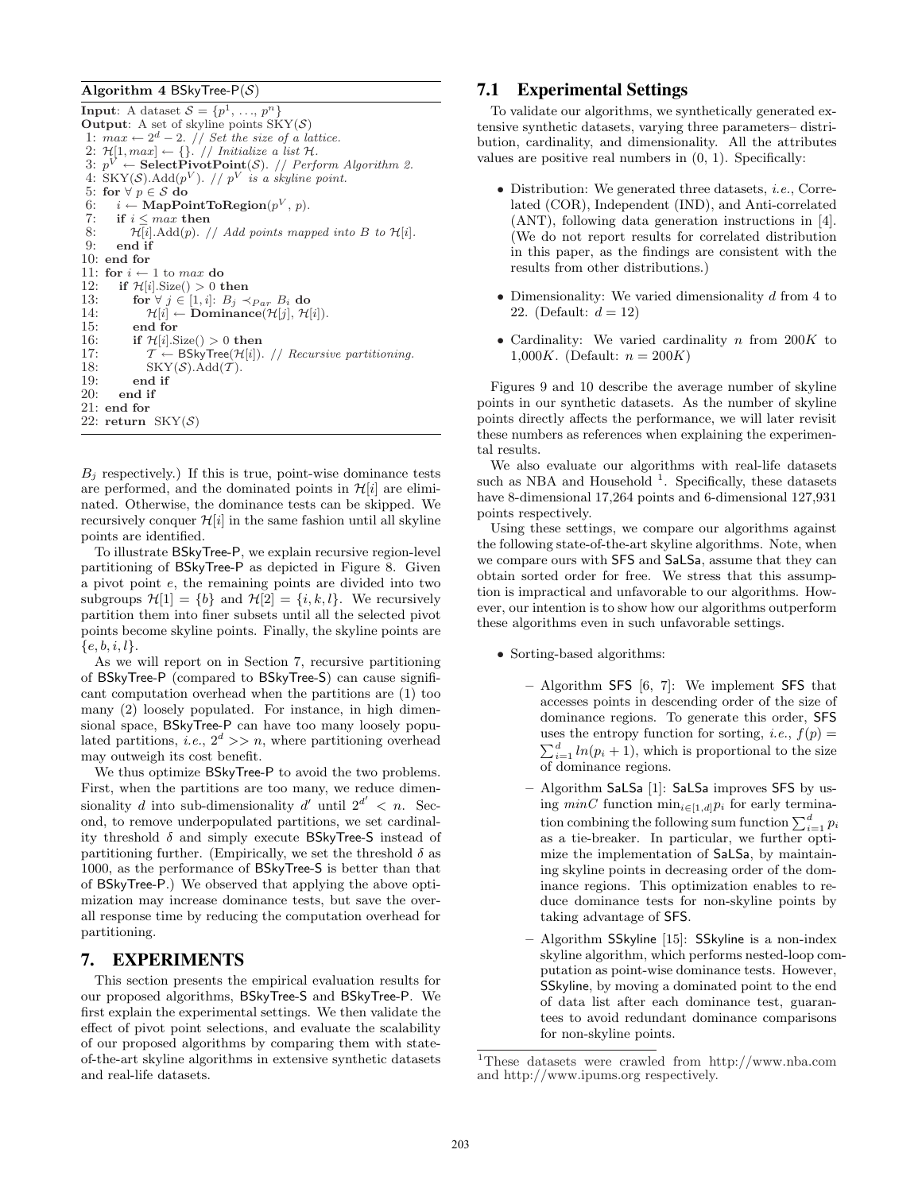#### Algorithm 4 BSkyTree- $P(S)$

**Input:** A dataset  $S = \{p^1, \ldots, p^n\}$ **Output:** A set of skyline points  $SKY(S)$ 1:  $max \leftarrow 2^d - 2$ . *// Set the size of a lattice.* 2:  $\mathcal{H}[1, max] \leftarrow \{\}. // Initialize a list \mathcal{H}.$ 3:  $p^V \leftarrow$  Select Pivot Point(S). // Perform Algorithm 2. 4:  $SKY(S)$ . Add $(p^V)$ . //  $p^V$  is a skyline point. 5: for  $\forall p \in S$  do 6:  $i \leftarrow \text{MapPointToRegion}(p^V, p)$ . 7: if  $i \leq max$  then 8:  $\mathcal{H}[i].\text{Add}(p). // Add points mapped into B to \mathcal{H}[i].$ 9: end if 10: end for 11: for  $i \leftarrow 1$  to max do 12: if  $\mathcal{H}[i].Size() > 0$  then 13: for  $\forall j \in [1, i]: B_j \prec_{Par} B_i$  do <br>14:  $\mathcal{H}[i] \leftarrow \textbf{Dominance}(\mathcal{H}[i], \mathcal{H}]$  $\mathcal{H}[i] \leftarrow$  Dominance $(\mathcal{H}[j], \mathcal{H}[i])$ . 15: end for 16: **if**  $\mathcal{H}[i]$ . Size() > 0 **then**<br>17:  $\mathcal{T} \leftarrow \text{BSkyTree}(\mathcal{H}[i])$ .  $\mathcal{T} \leftarrow$  BSkyTree(H[i]). // Recursive partitioning. 18:  $SKY(S).Add(T).$ <br>19: **end if** 19: end if<br>20: end if end if 21: end for 22: return  $SKY(S)$ 

 $B_i$  respectively.) If this is true, point-wise dominance tests are performed, and the dominated points in  $\mathcal{H}[i]$  are eliminated. Otherwise, the dominance tests can be skipped. We recursively conquer  $\mathcal{H}[i]$  in the same fashion until all skyline points are identified.

To illustrate BSkyTree-P, we explain recursive region-level partitioning of BSkyTree-P as depicted in Figure 8. Given a pivot point e, the remaining points are divided into two subgroups  $\mathcal{H}[1] = \{b\}$  and  $\mathcal{H}[2] = \{i, k, l\}$ . We recursively partition them into finer subsets until all the selected pivot points become skyline points. Finally, the skyline points are  ${e,b,i,l}.$ 

As we will report on in Section 7, recursive partitioning of BSkyTree-P (compared to BSkyTree-S) can cause significant computation overhead when the partitions are (1) too many (2) loosely populated. For instance, in high dimensional space, BSkyTree-P can have too many loosely populated partitions, *i.e.*,  $2^d \gg n$ , where partitioning overhead may outweigh its cost benefit.

We thus optimize BSkyTree-P to avoid the two problems. First, when the partitions are too many, we reduce dimensionality d into sub-dimensionality d'until  $2^{d'} < n$ . Second, to remove underpopulated partitions, we set cardinality threshold  $\delta$  and simply execute BSkyTree-S instead of partitioning further. (Empirically, we set the threshold  $\delta$  as 1000, as the performance of BSkyTree-S is better than that of BSkyTree-P.) We observed that applying the above optimization may increase dominance tests, but save the overall response time by reducing the computation overhead for partitioning.

# 7. EXPERIMENTS

This section presents the empirical evaluation results for our proposed algorithms, BSkyTree-S and BSkyTree-P. We first explain the experimental settings. We then validate the effect of pivot point selections, and evaluate the scalability of our proposed algorithms by comparing them with stateof-the-art skyline algorithms in extensive synthetic datasets and real-life datasets.

# 7.1 Experimental Settings

To validate our algorithms, we synthetically generated extensive synthetic datasets, varying three parameters– distribution, cardinality, and dimensionality. All the attributes values are positive real numbers in  $(0, 1)$ . Specifically:

- Distribution: We generated three datasets, *i.e.*, Correlated (COR), Independent (IND), and Anti-correlated (ANT), following data generation instructions in [4]. (We do not report results for correlated distribution in this paper, as the findings are consistent with the results from other distributions.)
- $\bullet$  Dimensionality: We varied dimensionality  $d$  from  $4$  to 22. (Default:  $d = 12$ )
- Cardinality: We varied cardinality  $n$  from  $200K$  to 1,000K. (Default:  $n = 200K$ )

Figures 9 and 10 describe the average number of skyline points in our synthetic datasets. As the number of skyline points directly affects the performance, we will later revisit these numbers as references when explaining the experimental results.

We also evaluate our algorithms with real-life datasets such as NBA and Household<sup>1</sup>. Specifically, these datasets have 8-dimensional 17,264 points and 6-dimensional 127,931 points respectively.

Using these settings, we compare our algorithms against the following state-of-the-art skyline algorithms. Note, when we compare ours with SFS and SaLSa, assume that they can obtain sorted order for free. We stress that this assumption is impractical and unfavorable to our algorithms. However, our intention is to show how our algorithms outperform these algorithms even in such unfavorable settings.

- Sorting-based algorithms:
	- Algorithm SFS [6, 7]: We implement SFS that accesses points in descending order of the size of dominance regions. To generate this order, SFS uses the entropy function for sorting, *i.e.*,  $f(p)$  = uses the entropy function for sorting, *i.e.*,  $f(p) = \sum_{i=1}^{d} ln(p_i + 1)$ , which is proportional to the size of dominance regions.
	- Algorithm SaLSa [1]: SaLSa improves SFS by using  $minC$  function  $min_{i\in[1,d]}p_i$  for early termination combining the following sum function  $\sum_{i=1}^{d} p_i$ as a tie-breaker. In particular, we further optimize the implementation of SaLSa, by maintaining skyline points in decreasing order of the dominance regions. This optimization enables to reduce dominance tests for non-skyline points by taking advantage of SFS.
	- Algorithm SSkyline [15]: SSkyline is a non-index skyline algorithm, which performs nested-loop computation as point-wise dominance tests. However, SSkyline, by moving a dominated point to the end of data list after each dominance test, guarantees to avoid redundant dominance comparisons for non-skyline points.

<sup>1</sup>These datasets were crawled from http://www.nba.com and http://www.ipums.org respectively.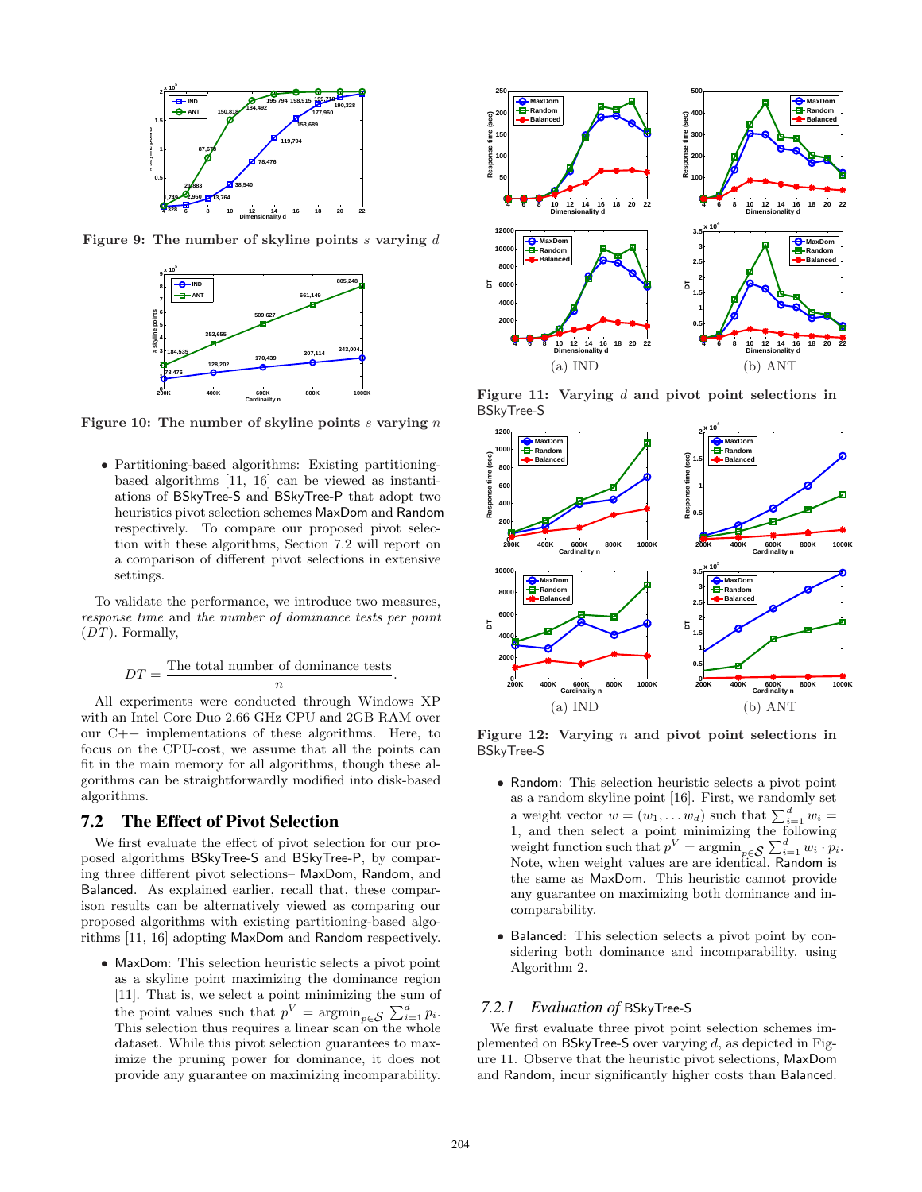

Figure 9: The number of skyline points  $s$  varying  $d$ 



Figure 10: The number of skyline points  $s$  varying  $n$ 

• Partitioning-based algorithms: Existing partitioningbased algorithms [11, 16] can be viewed as instantiations of BSkyTree-S and BSkyTree-P that adopt two heuristics pivot selection schemes MaxDom and Random respectively. To compare our proposed pivot selection with these algorithms, Section 7.2 will report on a comparison of different pivot selections in extensive settings.

To validate the performance, we introduce two measures, response time and the number of dominance tests per point (DT). Formally,

$$
DT = \frac{\text{The total number of dominance tests}}{n}.
$$

All experiments were conducted through Windows XP with an Intel Core Duo 2.66 GHz CPU and 2GB RAM over our C++ implementations of these algorithms. Here, to focus on the CPU-cost, we assume that all the points can fit in the main memory for all algorithms, though these algorithms can be straightforwardly modified into disk-based algorithms.

#### 7.2 The Effect of Pivot Selection

We first evaluate the effect of pivot selection for our proposed algorithms BSkyTree-S and BSkyTree-P, by comparing three different pivot selections– MaxDom, Random, and Balanced. As explained earlier, recall that, these comparison results can be alternatively viewed as comparing our proposed algorithms with existing partitioning-based algorithms [11, 16] adopting MaxDom and Random respectively.

• MaxDom: This selection heuristic selects a pivot point as a skyline point maximizing the dominance region [11]. That is, we select a point minimizing the sum of the point values such that  $p^V = \operatorname{argmin}_{p \in \mathcal{S}} \sum_{i=1}^{d} p_i$ . This selection thus requires a linear scan on the whole dataset. While this pivot selection guarantees to maximize the pruning power for dominance, it does not provide any guarantee on maximizing incomparability.



Figure 11: Varying  $d$  and pivot point selections in BSkyTree-S



Figure 12: Varying  $n$  and pivot point selections in BSkyTree-S

- Random: This selection heuristic selects a pivot point as a random skyline point [16]. First, we randomly set as a random skyline point [10]. First, we randomly set<br>a weight vector  $w = (w_1, \dots w_d)$  such that  $\sum_{i=1}^d w_i =$ 1, and then select a point minimizing the following 1, and then select a point minimizing the following<br>weight function such that  $p^V = \operatorname{argmin}_{p \in \mathcal{S}} \sum_{i=1}^d w_i \cdot p_i$ . Note, when weight values are are identical, Random is the same as MaxDom. This heuristic cannot provide any guarantee on maximizing both dominance and incomparability.
- Balanced: This selection selects a pivot point by considering both dominance and incomparability, using Algorithm 2.

#### *7.2.1 Evaluation of* BSkyTree-S

We first evaluate three pivot point selection schemes implemented on BSkyTree-S over varying  $d$ , as depicted in Figure 11. Observe that the heuristic pivot selections, MaxDom and Random, incur significantly higher costs than Balanced.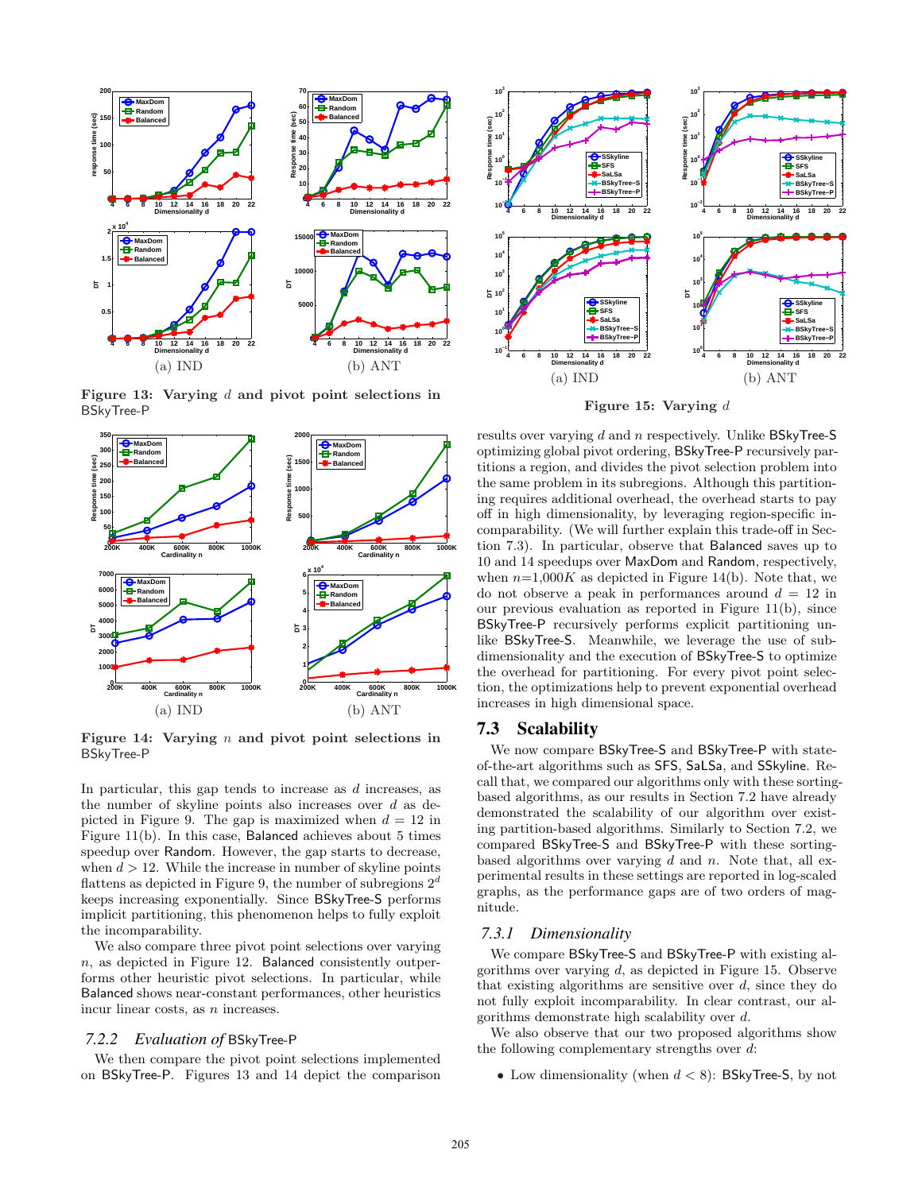

Figure 13: Varying  $d$  and pivot point selections in BSkyTree-P



Figure 14: Varying  $n$  and pivot point selections in BSkyTree-P

In particular, this gap tends to increase as d increases, as the number of skyline points also increases over  $d$  as depicted in Figure 9. The gap is maximized when  $d = 12$  in Figure 11(b). In this case, Balanced achieves about 5 times speedup over Random. However, the gap starts to decrease, when  $d > 12$ . While the increase in number of skyline points flattens as depicted in Figure 9, the number of subregions  $2<sup>a</sup>$ keeps increasing exponentially. Since BSkyTree-S performs implicit partitioning, this phenomenon helps to fully exploit the incomparability.

We also compare three pivot point selections over varying  $n$ , as depicted in Figure 12. Balanced consistently outperforms other heuristic pivot selections. In particular, while Balanced shows near-constant performances, other heuristics incur linear costs, as  $n$  increases.

#### *7.2.2 Evaluation of* BSkyTree-P

We then compare the pivot point selections implemented on BSkyTree-P. Figures 13 and 14 depict the comparison



Figure 15: Varying d

results over varying d and n respectively. Unlike BSkyTree-S optimizing global pivot ordering, BSkyTree-P recursively partitions a region, and divides the pivot selection problem into the same problem in its subregions. Although this partitioning requires additional overhead, the overhead starts to pay off in high dimensionality, by leveraging region-specific incomparability. (We will further explain this trade-off in Section 7.3). In particular, observe that Balanced saves up to 10 and 14 speedups over MaxDom and Random, respectively, when  $n=1,000K$  as depicted in Figure 14(b). Note that, we do not observe a peak in performances around  $d = 12$  in our previous evaluation as reported in Figure 11(b), since BSkyTree-P recursively performs explicit partitioning unlike BSkyTree-S. Meanwhile, we leverage the use of subdimensionality and the execution of BSkyTree-S to optimize the overhead for partitioning. For every pivot point selection, the optimizations help to prevent exponential overhead increases in high dimensional space.

#### 7.3 Scalability

We now compare BSkyTree-S and BSkyTree-P with stateof-the-art algorithms such as SFS, SaLSa, and SSkyline. Recall that, we compared our algorithms only with these sortingbased algorithms, as our results in Section 7.2 have already demonstrated the scalability of our algorithm over existing partition-based algorithms. Similarly to Section 7.2, we compared BSkyTree-S and BSkyTree-P with these sortingbased algorithms over varying  $d$  and  $n$ . Note that, all experimental results in these settings are reported in log-scaled graphs, as the performance gaps are of two orders of magnitude.

#### *7.3.1 Dimensionality*

We compare BSkyTree-S and BSkyTree-P with existing algorithms over varying  $d$ , as depicted in Figure 15. Observe that existing algorithms are sensitive over  $d$ , since they do not fully exploit incomparability. In clear contrast, our algorithms demonstrate high scalability over d.

We also observe that our two proposed algorithms show the following complementary strengths over d:

• Low dimensionality (when  $d < 8$ ): BSkyTree-S, by not